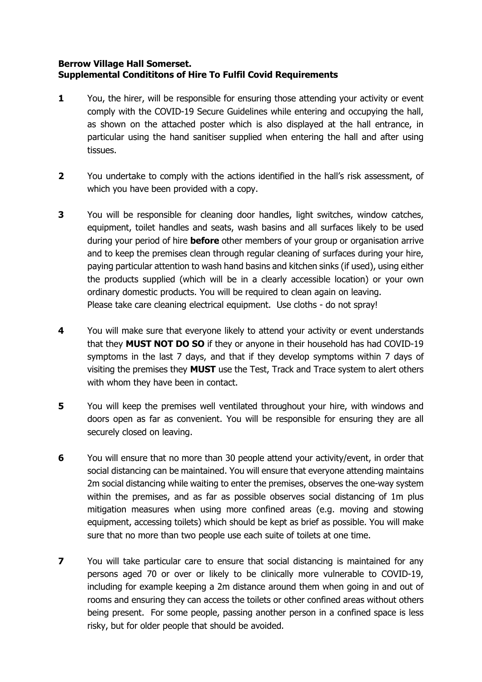## **Berrow Village Hall Somerset. Supplemental Condititons of Hire To Fulfil Covid Requirements**

- **1** You, the hirer, will be responsible for ensuring those attending your activity or event comply with the COVID-19 Secure Guidelines while entering and occupying the hall, as shown on the attached poster which is also displayed at the hall entrance, in particular using the hand sanitiser supplied when entering the hall and after using tissues.
- **2** You undertake to comply with the actions identified in the hall's risk assessment, of which you have been provided with a copy.
- **3** You will be responsible for cleaning door handles, light switches, window catches, equipment, toilet handles and seats, wash basins and all surfaces likely to be used during your period of hire **before** other members of your group or organisation arrive and to keep the premises clean through regular cleaning of surfaces during your hire, paying particular attention to wash hand basins and kitchen sinks (if used), using either the products supplied (which will be in a clearly accessible location) or your own ordinary domestic products. You will be required to clean again on leaving. Please take care cleaning electrical equipment. Use cloths - do not spray!
- **4** You will make sure that everyone likely to attend your activity or event understands that they **MUST NOT DO SO** if they or anyone in their household has had COVID-19 symptoms in the last 7 days, and that if they develop symptoms within 7 days of visiting the premises they **MUST** use the Test, Track and Trace system to alert others with whom they have been in contact.
- **5** You will keep the premises well ventilated throughout your hire, with windows and doors open as far as convenient. You will be responsible for ensuring they are all securely closed on leaving.
- **6** You will ensure that no more than 30 people attend your activity/event, in order that social distancing can be maintained. You will ensure that everyone attending maintains 2m social distancing while waiting to enter the premises, observes the one-way system within the premises, and as far as possible observes social distancing of 1m plus mitigation measures when using more confined areas (e.g. moving and stowing equipment, accessing toilets) which should be kept as brief as possible. You will make sure that no more than two people use each suite of toilets at one time.
- **7** You will take particular care to ensure that social distancing is maintained for any persons aged 70 or over or likely to be clinically more vulnerable to COVID-19, including for example keeping a 2m distance around them when going in and out of rooms and ensuring they can access the toilets or other confined areas without others being present. For some people, passing another person in a confined space is less risky, but for older people that should be avoided.